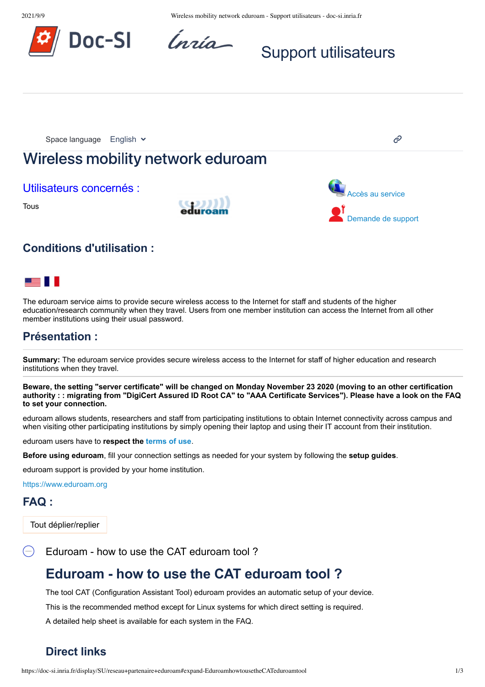



# Support utilisateurs



## us II

The eduroam service aims to provide secure wireless access to the Internet for staff and students of the higher education/research community when they travel. Users from one member institution can access the Internet from all other member institutions using their usual password.

## **Présentation :**

**Summary:** The eduroam service provides secure wireless access to the Internet for staff of higher education and research institutions when they travel.

Beware, the setting "server certificate" will be changed on Monday November 23 2020 (moving to an other certification authority : : migrating from "DigiCert Assured ID Root CA" to "AAA Certificate Services"). Please have a look on the FAQ **to set your connection.**

eduroam allows students, researchers and staff from participating institutions to obtain Internet connectivity across campus and when visiting other participating institutions by simply opening their laptop and using their IT account from their institution.

eduroam users have to **respect the terms of use**.

**Before using eduroam**, fill your connection settings as needed for your system by following the **setup guides**.

eduroam support is provided by your home institution.

https://www.eduroam.org

## **FAQ :**

Tout déplier/replier

Eduroam - how to use the CAT eduroam tool?

## **Eduroam - how to use the CAT eduroam tool ?**

The tool CAT (Configuration Assistant Tool) eduroam provides an automatic setup of your device.

This is the recommended method except for Linux systems for which direct setting is required.

A detailed help sheet is available for each system in the FAQ.

## **Direct links**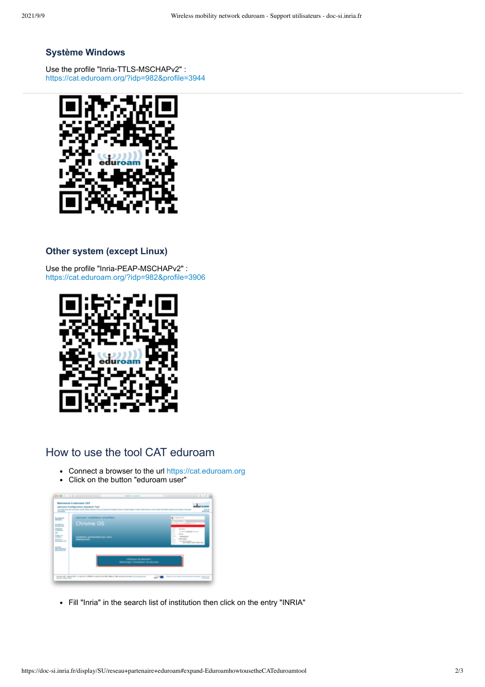#### **Système Windows**

Use the profile "Inria-TTLS-MSCHAPv2" : https://cat.eduroam.org/?idp=982&profile=3944



#### **Other system (except Linux)**

Use the profile "Inria-PEAP-MSCHAPv2" : https://cat.eduroam.org/?idp=982&profile=3906



## How to use the tool CAT eduroam

- Connect a browser to the url https://cat.eduroam.org
- Click on the button "eduroam user"  $\bullet$



Fill "Inria" in the search list of institution then click on the entry "INRIA"